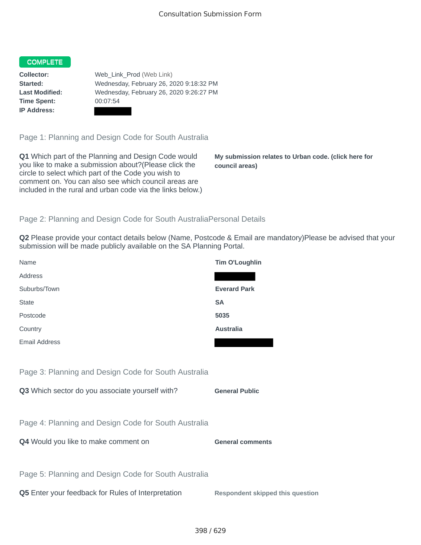## COMPLETE

**Time Spent:** 00:07:54 **IP Address:**

**Collector:** Web\_Link\_Prod (Web Link) **Started:** Wednesday, February 26, 2020 9:18:32 PM **Last Modified:** Wednesday, February 26, 2020 9:26:27 PM

Page 1: Planning and Design Code for South Australia

**Q1** Which part of the Planning and Design Code would you like to make a submission about?(Please click the circle to select which part of the Code you wish to comment on. You can also see which council areas are included in the rural and urban code via the links below.)

**My submission relates to Urban code. (click here for council areas)**

## Page 2: Planning and Design Code for South AustraliaPersonal Details

**Q2** Please provide your contact details below (Name, Postcode & Email are mandatory)Please be advised that your submission will be made publicly available on the SA Planning Portal.

| Name                                                 | <b>Tim O'Loughlin</b>                   |
|------------------------------------------------------|-----------------------------------------|
| Address                                              |                                         |
| Suburbs/Town                                         | <b>Everard Park</b>                     |
| <b>State</b>                                         | <b>SA</b>                               |
| Postcode                                             | 5035                                    |
| Country                                              | <b>Australia</b>                        |
| <b>Email Address</b>                                 |                                         |
|                                                      |                                         |
| Page 3: Planning and Design Code for South Australia |                                         |
| Q3 Which sector do you associate yourself with?      | <b>General Public</b>                   |
|                                                      |                                         |
| Page 4: Planning and Design Code for South Australia |                                         |
| Q4 Would you like to make comment on                 | <b>General comments</b>                 |
|                                                      |                                         |
| Page 5: Planning and Design Code for South Australia |                                         |
| Q5 Enter your feedback for Rules of Interpretation   | <b>Respondent skipped this question</b> |
|                                                      |                                         |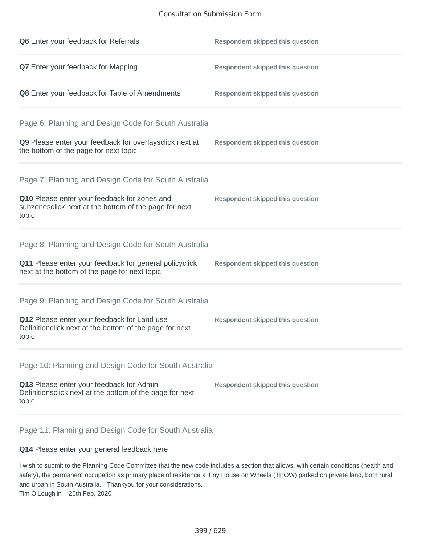## Consultation Submission Form

| Q6 Enter your feedback for Referrals                                                                            | <b>Respondent skipped this question</b> |
|-----------------------------------------------------------------------------------------------------------------|-----------------------------------------|
| <b>Q7</b> Enter your feedback for Mapping                                                                       | <b>Respondent skipped this question</b> |
| Q8 Enter your feedback for Table of Amendments                                                                  | <b>Respondent skipped this question</b> |
| Page 6: Planning and Design Code for South Australia                                                            |                                         |
| Q9 Please enter your feedback for overlaysclick next at<br>the bottom of the page for next topic                | <b>Respondent skipped this question</b> |
| Page 7: Planning and Design Code for South Australia                                                            |                                         |
| Q10 Please enter your feedback for zones and<br>subzonesclick next at the bottom of the page for next<br>topic  | <b>Respondent skipped this question</b> |
|                                                                                                                 |                                         |
| Page 8: Planning and Design Code for South Australia                                                            |                                         |
| Q11 Please enter your feedback for general policyclick<br>next at the bottom of the page for next topic         | <b>Respondent skipped this question</b> |
| Page 9: Planning and Design Code for South Australia                                                            |                                         |
| Q12 Please enter your feedback for Land use<br>Definitionclick next at the bottom of the page for next<br>topic | <b>Respondent skipped this question</b> |
| Page 10: Planning and Design Code for South Australia                                                           |                                         |
| Q13 Please enter your feedback for Admin<br>Definitionsclick next at the bottom of the page for next<br>topic   | <b>Respondent skipped this question</b> |

Page 11: Planning and Design Code for South Australia

## **Q14** Please enter your general feedback here

I wish to submit to the Planning Code Committee that the new code includes a section that allows, with certain conditions (health and safety), the permanent occupation as primary place of residence a Tiny House on Wheels (THOW) parked on private land, both rural and urban in South Australia. Thankyou for your considerations. Tim O'Loughlin 26th Feb, 2020